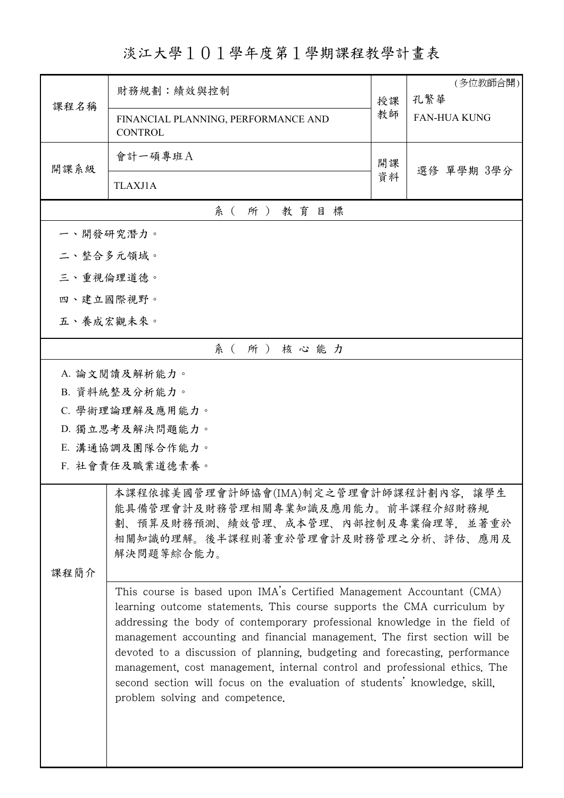淡江大學101學年度第1學期課程教學計畫表

|      |                                                                                                                                                                                                                                                                                                                                                                                                                                                                                                                                                                                           |    | (多位教師合開)            |  |  |  |  |  |
|------|-------------------------------------------------------------------------------------------------------------------------------------------------------------------------------------------------------------------------------------------------------------------------------------------------------------------------------------------------------------------------------------------------------------------------------------------------------------------------------------------------------------------------------------------------------------------------------------------|----|---------------------|--|--|--|--|--|
| 課程名稱 | 財務規劃:績效與控制                                                                                                                                                                                                                                                                                                                                                                                                                                                                                                                                                                                | 授課 | 孔繁華                 |  |  |  |  |  |
|      | FINANCIAL PLANNING, PERFORMANCE AND<br><b>CONTROL</b>                                                                                                                                                                                                                                                                                                                                                                                                                                                                                                                                     | 教師 | <b>FAN-HUA KUNG</b> |  |  |  |  |  |
| 開課系級 | 會計一碩專班A                                                                                                                                                                                                                                                                                                                                                                                                                                                                                                                                                                                   | 開課 |                     |  |  |  |  |  |
|      | <b>TLAXJ1A</b>                                                                                                                                                                                                                                                                                                                                                                                                                                                                                                                                                                            | 資料 | 選修 單學期 3學分          |  |  |  |  |  |
|      | 系 ( 所 ) 教育目標                                                                                                                                                                                                                                                                                                                                                                                                                                                                                                                                                                              |    |                     |  |  |  |  |  |
|      | 一、開發研究潛力。                                                                                                                                                                                                                                                                                                                                                                                                                                                                                                                                                                                 |    |                     |  |  |  |  |  |
|      | 二、整合多元領域。                                                                                                                                                                                                                                                                                                                                                                                                                                                                                                                                                                                 |    |                     |  |  |  |  |  |
|      | 三、重視倫理道德。                                                                                                                                                                                                                                                                                                                                                                                                                                                                                                                                                                                 |    |                     |  |  |  |  |  |
|      | 四、建立國際視野。                                                                                                                                                                                                                                                                                                                                                                                                                                                                                                                                                                                 |    |                     |  |  |  |  |  |
|      | 五、養成宏觀未來。                                                                                                                                                                                                                                                                                                                                                                                                                                                                                                                                                                                 |    |                     |  |  |  |  |  |
|      | 系(所)核心能力                                                                                                                                                                                                                                                                                                                                                                                                                                                                                                                                                                                  |    |                     |  |  |  |  |  |
|      | A. 論文閱讀及解析能力。                                                                                                                                                                                                                                                                                                                                                                                                                                                                                                                                                                             |    |                     |  |  |  |  |  |
|      | B. 資料統整及分析能力。                                                                                                                                                                                                                                                                                                                                                                                                                                                                                                                                                                             |    |                     |  |  |  |  |  |
|      | C. 學術理論理解及應用能力。                                                                                                                                                                                                                                                                                                                                                                                                                                                                                                                                                                           |    |                     |  |  |  |  |  |
|      | D. 獨立思考及解決問題能力。                                                                                                                                                                                                                                                                                                                                                                                                                                                                                                                                                                           |    |                     |  |  |  |  |  |
|      | E. 溝通協調及團隊合作能力。                                                                                                                                                                                                                                                                                                                                                                                                                                                                                                                                                                           |    |                     |  |  |  |  |  |
|      | F. 社會責任及職業道德素養。                                                                                                                                                                                                                                                                                                                                                                                                                                                                                                                                                                           |    |                     |  |  |  |  |  |
|      | 本課程依據美國管理會計師協會(IMA)制定之管理會計師課程計劃內容,                                                                                                                                                                                                                                                                                                                                                                                                                                                                                                                                                        |    | 讓學生                 |  |  |  |  |  |
|      | 能具備管理會計及財務管理相關專業知識及應用能力。前半課程介紹財務規                                                                                                                                                                                                                                                                                                                                                                                                                                                                                                                                                         |    |                     |  |  |  |  |  |
|      | 劃、預算及財務預測、績效管理、成本管理、內部控制及專業倫理等,並著重於<br>相關知識的理解。後半課程則著重於管理會計及財務管理之分析、評估、應用及                                                                                                                                                                                                                                                                                                                                                                                                                                                                                                                |    |                     |  |  |  |  |  |
|      | 解決問題等綜合能力。                                                                                                                                                                                                                                                                                                                                                                                                                                                                                                                                                                                |    |                     |  |  |  |  |  |
| 课程简介 |                                                                                                                                                                                                                                                                                                                                                                                                                                                                                                                                                                                           |    |                     |  |  |  |  |  |
|      | This course is based upon IMA's Certified Management Accountant (CMA)<br>learning outcome statements. This course supports the CMA curriculum by<br>addressing the body of contemporary professional knowledge in the field of<br>management accounting and financial management. The first section will be<br>devoted to a discussion of planning, budgeting and forecasting, performance<br>management, cost management, internal control and professional ethics. The<br>second section will focus on the evaluation of students' knowledge, skill,<br>problem solving and competence. |    |                     |  |  |  |  |  |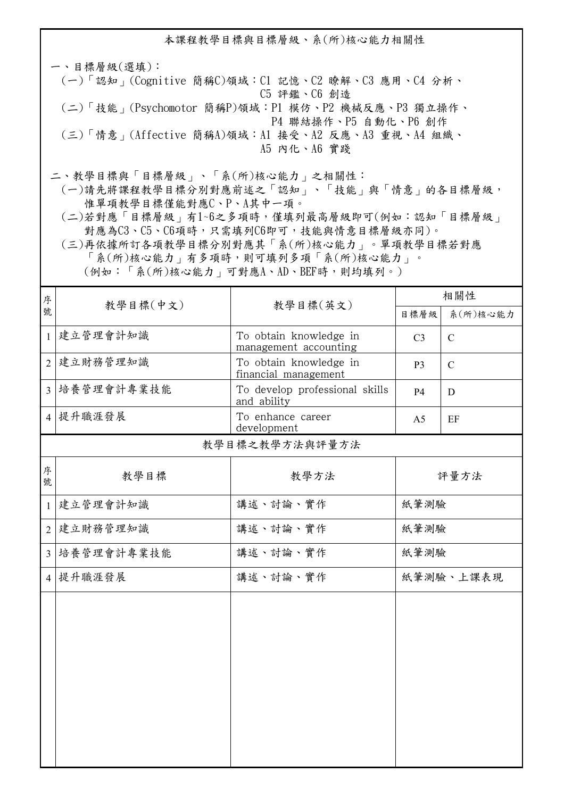本課程教學目標與目標層級、系(所)核心能力相關性

一、目標層級(選填): (一)「認知」(Cognitive 簡稱C)領域:C1 記憶、C2 瞭解、C3 應用、C4 分析、 C5 評鑑、C6 創造 (二)「技能」(Psychomotor 簡稱P)領域:P1 模仿、P2 機械反應、P3 獨立操作、 P4 聯結操作、P5 自動化、P6 創作 (三)「情意」(Affective 簡稱A)領域:A1 接受、A2 反應、A3 重視、A4 組織、 A5 內化、A6 實踐

二、教學目標與「目標層級」、「系(所)核心能力」之相關性:

 (一)請先將課程教學目標分別對應前述之「認知」、「技能」與「情意」的各目標層級, 惟單項教學目標僅能對應C、P、A其中一項。

 (二)若對應「目標層級」有1~6之多項時,僅填列最高層級即可(例如:認知「目標層級」 對應為C3、C5、C6項時,只需填列C6即可,技能與情意目標層級亦同)。

 (三)再依據所訂各項教學目標分別對應其「系(所)核心能力」。單項教學目標若對應 「系(所)核心能力」有多項時,則可填列多項「系(所)核心能力」。

(例如:「系(所)核心能力」可對應A、AD、BEF時,則均填列。)

| 序<br>號         |            |                                                 | 相關性            |               |
|----------------|------------|-------------------------------------------------|----------------|---------------|
|                | 教學目標(中文)   | 教學目標(英文)                                        | 目標層級           | 系(所)核心能力      |
| $\mathbf{1}$   | 建立管理會計知識   | To obtain knowledge in<br>management accounting | C <sub>3</sub> | $\mathcal{C}$ |
| $\overline{2}$ | 建立財務管理知識   | To obtain knowledge in<br>financial management  | P <sub>3</sub> | $\mathcal{C}$ |
| $\overline{3}$ | 培養管理會計專業技能 | To develop professional skills<br>and ability   | <b>P4</b>      | D             |
|                | 4 提升職涯發展   | To enhance career<br>development                | A <sub>5</sub> | EF            |
|                |            | 教學目標之教學方法與評量方法                                  |                |               |
| 序<br>號         | 教學目標       | 教學方法                                            | 評量方法           |               |
| $\mathbf{1}$   | 建立管理會計知識   | 講述、討論、實作                                        | 紙筆測驗           |               |
| $\overline{2}$ | 建立財務管理知識   | 講述、討論、實作                                        | 紙筆測驗           |               |
| $\overline{3}$ | 培養管理會計專業技能 | 講述、討論、實作                                        | 紙筆測驗           |               |
| $\overline{4}$ | 提升職涯發展     | 講述、討論、實作                                        | 紙筆測驗、上課表現      |               |
|                |            |                                                 |                |               |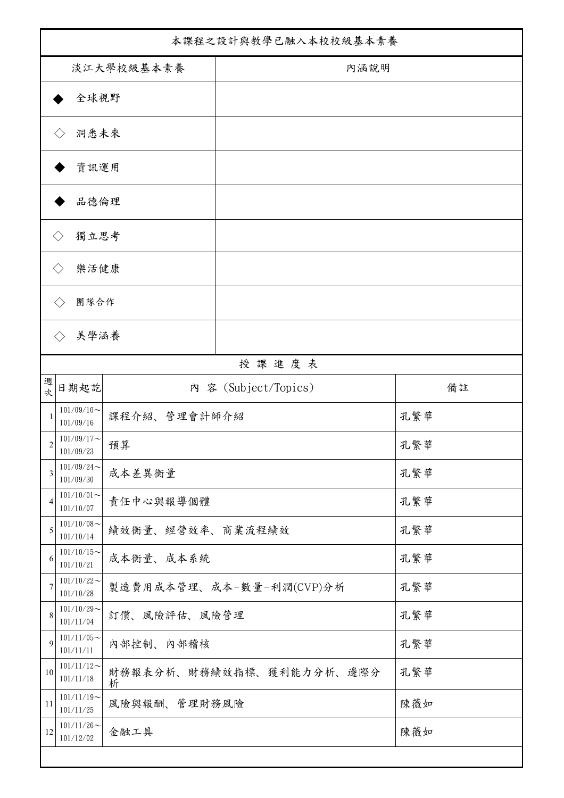| 本課程之設計與教學已融入本校校級基本素養        |                               |                               |      |  |  |  |
|-----------------------------|-------------------------------|-------------------------------|------|--|--|--|
| 淡江大學校級基本素養                  |                               |                               | 內涵說明 |  |  |  |
|                             | 全球視野                          |                               |      |  |  |  |
|                             | 洞悉未來<br>$\langle \ \rangle$   |                               |      |  |  |  |
|                             | 資訊運用                          |                               |      |  |  |  |
|                             | 品德倫理                          |                               |      |  |  |  |
|                             | 獨立思考<br>$\langle \rangle$     |                               |      |  |  |  |
| 樂活健康<br>$\langle$ $\rangle$ |                               |                               |      |  |  |  |
|                             | 團隊合作                          |                               |      |  |  |  |
|                             | 美學涵養                          |                               |      |  |  |  |
|                             |                               | 授課進度表                         |      |  |  |  |
| 週<br>次                      | 日期起訖                          | 內 容 (Subject/Topics)          | 備註   |  |  |  |
|                             | $101/09/10 \sim$<br>101/09/16 | 課程介紹、管理會計師介紹                  | 孔繁華  |  |  |  |
| 2                           | $101/09/17$ ~<br>101/09/23    | 預算                            | 孔繁華  |  |  |  |
| 3                           | $101/09/24$ ~<br>101/09/30    | 成本差異衡量                        | 孔繁華  |  |  |  |
| 4                           | $101/10/01$ ~<br>101/10/07    | 責任中心與報導個體                     | 孔繁華  |  |  |  |
| 5                           | $101/10/08$ ~<br>101/10/14    | 績效衡量、經營效率、商業流程績效              | 孔繁華  |  |  |  |
| 6                           | $101/10/15$ ~<br>101/10/21    | 成本衡量、成本系統                     | 孔繁華  |  |  |  |
| 7                           | $101/10/22$ ~<br>101/10/28    | 製造費用成本管理、成本-數量-利潤(CVP)分析      | 孔繁華  |  |  |  |
| $\,$ 8 $\,$                 | $101/10/29$ ~<br>101/11/04    | 訂價、風險評估、風險管理                  | 孔繁華  |  |  |  |
| 9                           | $101/11/05$ ~<br>101/11/11    | 内部控制、内部稽核                     | 孔繁華  |  |  |  |
| 10                          | $101/11/12$ ~<br>101/11/18    | 財務報表分析、財務績效指標、獲利能力分析、邊際分<br>析 | 孔繁華  |  |  |  |
| 11                          | $101/11/19$ ~<br>101/11/25    | 風險與報酬、管理財務風險                  | 陳薇如  |  |  |  |
| 12                          | $101/11/26$ ~<br>101/12/02    | 金融工具                          | 陳薇如  |  |  |  |
|                             |                               |                               |      |  |  |  |